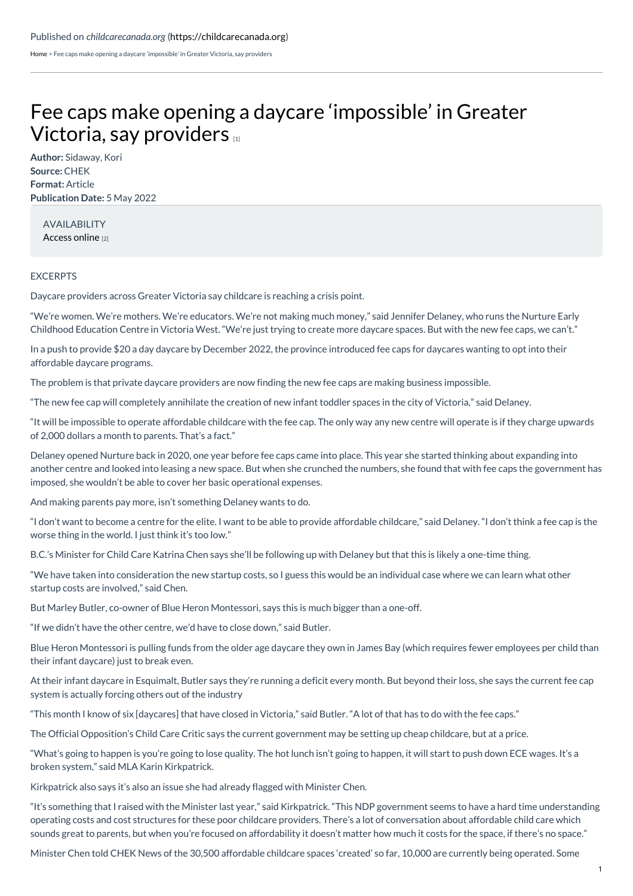[Home](https://childcarecanada.org/) > Fee caps make opening a daycare 'impossible' in Greater Victoria, say providers

## Fee caps make opening a daycare ['impossible'](https://childcarecanada.org/documents/child-care-news/22/05/fee-caps-make-opening-daycare-%25E2%2580%2598impossible%25E2%2580%2599-greater-victoria-say) in Greater Victoria, say providers [1]

**Author:** Sidaway, Kori **Source:** CHEK **Format:** Article **Publication Date:** 5 May 2022

AVAILABILITY [Access](https://www.cheknews.ca/fee-caps-make-opening-a-daycare-impossible-in-greater-victoria-say-providers-1024162/) online [2]

## **EXCERPTS**

Daycare providers across Greater Victoria say childcare is reaching a crisis point.

"We're women. We're mothers. We're educators. We're not making much money," said Jennifer Delaney, who runs the Nurture Early Childhood Education Centre in Victoria West. "We're just trying to create more daycare spaces. But with the new fee caps, we can't."

In a push to provide \$20 a day daycare by December 2022, the province introduced fee caps for daycares wanting to opt into their affordable daycare programs.

The problem is that private daycare providers are now finding the new fee caps are making business impossible.

"The new fee cap will completely annihilate the creation of new infant toddler spaces in the city of Victoria," said Delaney.

"It will be impossible to operate affordable childcare with the fee cap. The only way any new centre will operate is if they charge upwards of 2,000 dollars a month to parents. That's a fact."

Delaney opened Nurture back in 2020, one year before fee caps came into place. This year she started thinking about expanding into another centre and looked into leasing a new space. But when she crunched the numbers, she found that with fee caps the government has imposed, she wouldn't be able to cover her basic operational expenses.

And making parents pay more, isn't something Delaney wants to do.

"I don't want to become a centre for the elite. I want to be able to provide affordable childcare," said Delaney. "I don't think a fee cap is the worse thing in the world. I just think it's too low."

B.C.'s Minister for Child Care Katrina Chen says she'll be following up with Delaney but that this is likely a one-time thing.

"We have taken into consideration the new startup costs, so I guess this would be an individual case where we can learn what other startup costs are involved," said Chen.

But Marley Butler, co-owner of Blue Heron Montessori, says this is much bigger than a one-off.

"If we didn't have the other centre, we'd have to close down," said Butler.

Blue Heron Montessori is pulling funds from the older age daycare they own in James Bay (which requires fewer employees per child than their infant daycare) just to break even.

At their infant daycare in Esquimalt, Butler says they're running a deficit every month. But beyond their loss, she says the current fee cap system is actually forcing others out of the industry

"This month I know of six [daycares] that have closed in Victoria," said Butler. "A lot of that has to do with the fee caps."

The Official Opposition's Child Care Critic says the current government may be setting up cheap childcare, but at a price.

"What's going to happen is you're going to lose quality. The hot lunch isn't going to happen, it will start to push down ECE wages. It's a broken system," said MLA Karin Kirkpatrick.

Kirkpatrick also says it's also an issue she had already flagged with Minister Chen.

"It's something that I raised with the Minister last year," said Kirkpatrick. "This NDP government seems to have a hard time understanding operating costs and cost structures for these poor childcare providers. There's a lot of conversation about affordable child care which sounds great to parents, but when you're focused on affordability it doesn't matter how much it costs for the space, if there's no space."

Minister Chen told CHEK News of the 30,500 affordable childcare spaces 'created' so far, 10,000 are currently being operated. Some